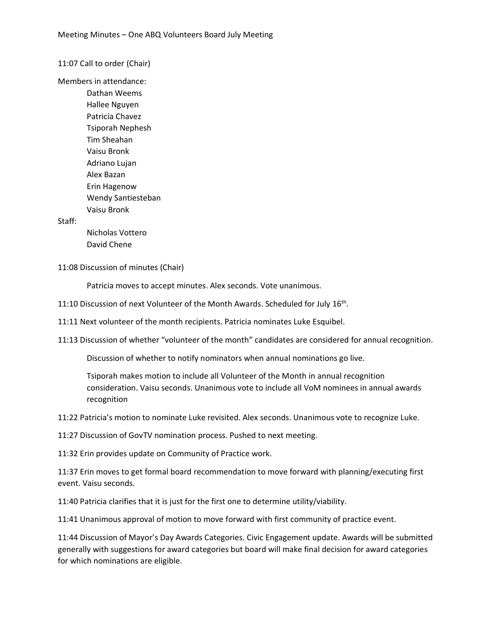11:07 Call to order (Chair)

Members in attendance:

Dathan Weems Hallee Nguyen Patricia Chavez Tsiporah Nephesh Tim Sheahan Vaisu Bronk Adriano Lujan Alex Bazan Erin Hagenow Wendy Santiesteban Vaisu Bronk

Staff:

Nicholas Vottero David Chene

11:08 Discussion of minutes (Chair)

Patricia moves to accept minutes. Alex seconds. Vote unanimous.

11:10 Discussion of next Volunteer of the Month Awards. Scheduled for July 16<sup>th</sup>.

11:11 Next volunteer of the month recipients. Patricia nominates Luke Esquibel.

11:13 Discussion of whether "volunteer of the month" candidates are considered for annual recognition.

Discussion of whether to notify nominators when annual nominations go live.

Tsiporah makes motion to include all Volunteer of the Month in annual recognition consideration. Vaisu seconds. Unanimous vote to include all VoM nominees in annual awards recognition

11:22 Patricia's motion to nominate Luke revisited. Alex seconds. Unanimous vote to recognize Luke.

11:27 Discussion of GovTV nomination process. Pushed to next meeting.

11:32 Erin provides update on Community of Practice work.

11:37 Erin moves to get formal board recommendation to move forward with planning/executing first event. Vaisu seconds.

11:40 Patricia clarifies that it is just for the first one to determine utility/viability.

11:41 Unanimous approval of motion to move forward with first community of practice event.

11:44 Discussion of Mayor's Day Awards Categories. Civic Engagement update. Awards will be submitted generally with suggestions for award categories but board will make final decision for award categories for which nominations are eligible.